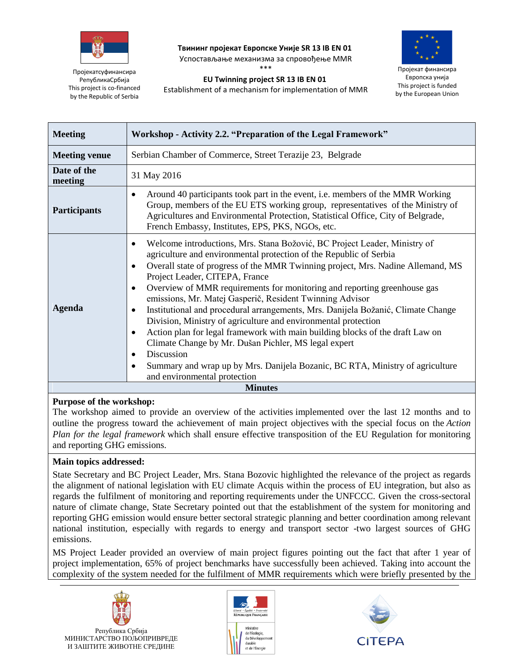

**Твининг пројекат Европске Уније SR 13 IB EN 01** Успостављање механизма за спровођење ММR

\*\*\* **EU Twinning project SR 13 IB EN 01**

Establishment of a mechanism for implementation of MMR



Пројекат финансира Европска унија This project is funded by the European Union

Пројекатсуфинансира РепубликаСрбија This project is co-financed by the Republic of Serbia

| Workshop - Activity 2.2. "Preparation of the Legal Framework"<br><b>Meeting</b><br>Serbian Chamber of Commerce, Street Terazije 23, Belgrade<br><b>Meeting venue</b><br>Date of the<br>31 May 2016<br>meeting<br>Around 40 participants took part in the event, i.e. members of the MMR Working<br>$\bullet$<br>Group, members of the EU ETS working group, representatives of the Ministry of<br><b>Participants</b><br>Agricultures and Environmental Protection, Statistical Office, City of Belgrade,<br>French Embassy, Institutes, EPS, PKS, NGOs, etc.<br>Welcome introductions, Mrs. Stana Božović, BC Project Leader, Ministry of<br>$\bullet$<br>agriculture and environmental protection of the Republic of Serbia<br>Overall state of progress of the MMR Twinning project, Mrs. Nadine Allemand, MS<br>٠<br>Project Leader, CITEPA, France<br>Overview of MMR requirements for monitoring and reporting greenhouse gas<br>٠<br>emissions, Mr. Matej Gasperič, Resident Twinning Advisor<br><b>Agenda</b><br>Institutional and procedural arrangements, Mrs. Danijela Božanić, Climate Change<br>٠<br>Division, Ministry of agriculture and environmental protection<br>Action plan for legal framework with main building blocks of the draft Law on<br>$\bullet$<br>Climate Change by Mr. Dušan Pichler, MS legal expert<br>Discussion<br>$\bullet$<br>Summary and wrap up by Mrs. Danijela Bozanic, BC RTA, Ministry of agriculture<br>$\bullet$<br>and environmental protection |  |                |
|-------------------------------------------------------------------------------------------------------------------------------------------------------------------------------------------------------------------------------------------------------------------------------------------------------------------------------------------------------------------------------------------------------------------------------------------------------------------------------------------------------------------------------------------------------------------------------------------------------------------------------------------------------------------------------------------------------------------------------------------------------------------------------------------------------------------------------------------------------------------------------------------------------------------------------------------------------------------------------------------------------------------------------------------------------------------------------------------------------------------------------------------------------------------------------------------------------------------------------------------------------------------------------------------------------------------------------------------------------------------------------------------------------------------------------------------------------------------------------------------------|--|----------------|
|                                                                                                                                                                                                                                                                                                                                                                                                                                                                                                                                                                                                                                                                                                                                                                                                                                                                                                                                                                                                                                                                                                                                                                                                                                                                                                                                                                                                                                                                                                 |  |                |
|                                                                                                                                                                                                                                                                                                                                                                                                                                                                                                                                                                                                                                                                                                                                                                                                                                                                                                                                                                                                                                                                                                                                                                                                                                                                                                                                                                                                                                                                                                 |  |                |
|                                                                                                                                                                                                                                                                                                                                                                                                                                                                                                                                                                                                                                                                                                                                                                                                                                                                                                                                                                                                                                                                                                                                                                                                                                                                                                                                                                                                                                                                                                 |  |                |
|                                                                                                                                                                                                                                                                                                                                                                                                                                                                                                                                                                                                                                                                                                                                                                                                                                                                                                                                                                                                                                                                                                                                                                                                                                                                                                                                                                                                                                                                                                 |  |                |
|                                                                                                                                                                                                                                                                                                                                                                                                                                                                                                                                                                                                                                                                                                                                                                                                                                                                                                                                                                                                                                                                                                                                                                                                                                                                                                                                                                                                                                                                                                 |  |                |
|                                                                                                                                                                                                                                                                                                                                                                                                                                                                                                                                                                                                                                                                                                                                                                                                                                                                                                                                                                                                                                                                                                                                                                                                                                                                                                                                                                                                                                                                                                 |  | <b>Minutes</b> |

## **Purpose of the workshop:**

The workshop aimed to provide an overview of the activities implemented over the last 12 months and to outline the progress toward the achievement of main project objectives with the special focus on the *Action Plan for the legal framework* which shall ensure effective transposition of the EU Regulation for monitoring and reporting GHG emissions.

## **Main topics addressed:**

State Secretary and BC Project Leader, Mrs. Stana Bozovic highlighted the relevance of the project as regards the alignment of national legislation with EU climate Acquis within the process of EU integration, but also as regards the fulfilment of monitoring and reporting requirements under the UNFCCC. Given the cross-sectoral nature of climate change, State Secretary pointed out that the establishment of the system for monitoring and reporting GHG emission would ensure better sectoral strategic planning and better coordination among relevant national institution, especially with regards to energy and transport sector -two largest sources of GHG emissions.

MS Project Leader provided an overview of main project figures pointing out the fact that after 1 year of project implementation, 65% of project benchmarks have successfully been achieved. Taking into account the complexity of the system needed for the fulfilment of MMR requirements which were briefly presented by the





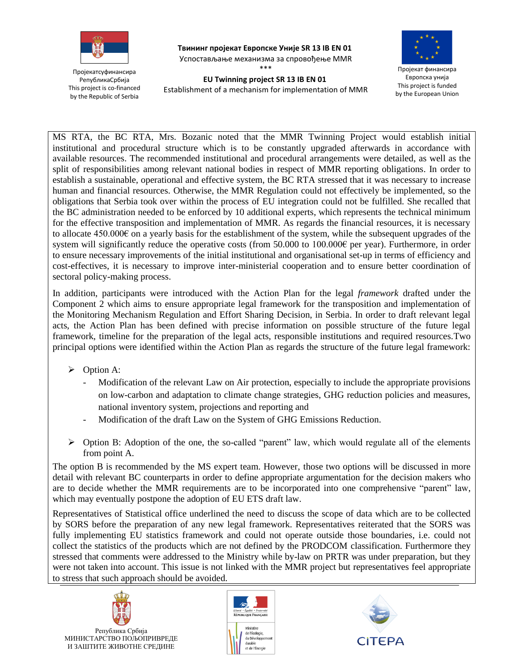

Пројекатсуфинансира РепубликаСрбија This project is co-financed by the Republic of Serbia

**Твининг пројекат Европске Уније SR 13 IB EN 01** Успостављање механизма за спровођење ММR \*\*\*



Пројекат финансира Европска унија This project is funded by the European Union

**EU Twinning project SR 13 IB EN 01** Establishment of a mechanism for implementation of MMR

MS RTA, the BC RTA, Mrs. Bozanic noted that the MMR Twinning Project would establish initial institutional and procedural structure which is to be constantly upgraded afterwards in accordance with available resources. The recommended institutional and procedural arrangements were detailed, as well as the split of responsibilities among relevant national bodies in respect of MMR reporting obligations. In order to establish a sustainable, operational and effective system, the BC RTA stressed that it was necessary to increase human and financial resources. Otherwise, the MMR Regulation could not effectively be implemented, so the obligations that Serbia took over within the process of EU integration could not be fulfilled. She recalled that the BC administration needed to be enforced by 10 additional experts, which represents the technical minimum for the effective transposition and implementation of MMR. As regards the financial resources, it is necessary to allocate 450.000€ on a yearly basis for the establishment of the system, while the subsequent upgrades of the system will significantly reduce the operative costs (from 50.000 to 100.000 $\epsilon$  per year). Furthermore, in order to ensure necessary improvements of the initial institutional and organisational set-up in terms of efficiency and cost-effectives, it is necessary to improve inter-ministerial cooperation and to ensure better coordination of sectoral policy-making process.

In addition, participants were introduced with the Action Plan for the legal *framework* drafted under the Component 2 which aims to ensure appropriate legal framework for the transposition and implementation of the Monitoring Mechanism Regulation and Effort Sharing Decision, in Serbia. In order to draft relevant legal acts, the Action Plan has been defined with precise information on possible structure of the future legal framework, timeline for the preparation of the legal acts, responsible institutions and required resources.Two principal options were identified within the Action Plan as regards the structure of the future legal framework:

- $\triangleright$  Option A:
	- Modification of the relevant Law on Air protection, especially to include the appropriate provisions on low-carbon and adaptation to climate change strategies, GHG reduction policies and measures, national inventory system, projections and reporting and
	- Modification of the draft Law on the System of GHG Emissions Reduction.
- $\triangleright$  Option B: Adoption of the one, the so-called "parent" law, which would regulate all of the elements from point A.

The option B is recommended by the MS expert team. However, those two options will be discussed in more detail with relevant BC counterparts in order to define appropriate argumentation for the decision makers who are to decide whether the MMR requirements are to be incorporated into one comprehensive "parent" law, which may eventually postpone the adoption of EU ETS draft law.

Representatives of Statistical office underlined the need to discuss the scope of data which are to be collected by SORS before the preparation of any new legal framework. Representatives reiterated that the SORS was fully implementing EU statistics framework and could not operate outside those boundaries, i.e. could not collect the statistics of the products which are not defined by the PRODCOM classification. Furthermore they stressed that comments were addressed to the Ministry while by-law on PRTR was under preparation, but they were not taken into account. This issue is not linked with the MMR project but representatives feel appropriate to stress that such approach should be avoided.